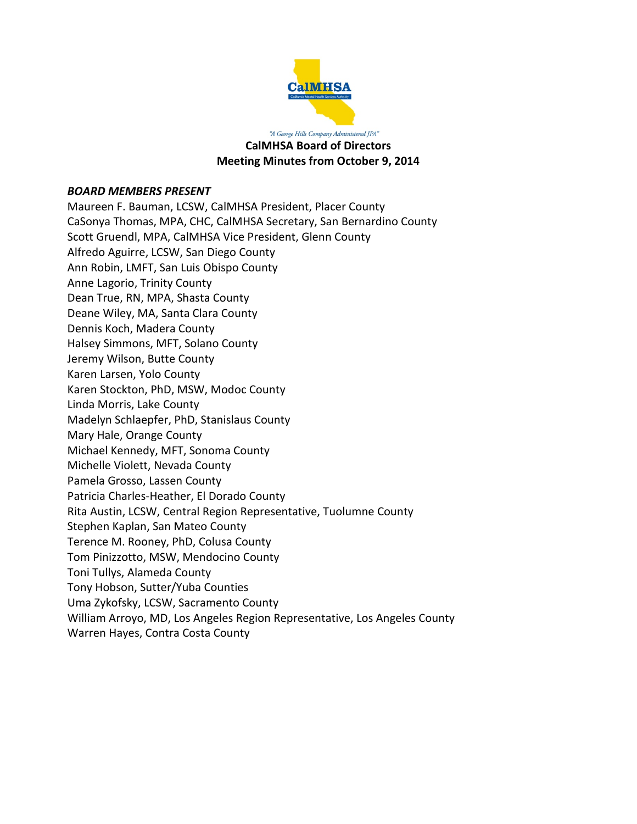

"A George Hills Company Administered JPA" **CalMHSA Board of Directors Meeting Minutes from October 9, 2014**

#### *BOARD MEMBERS PRESENT*

Maureen F. Bauman, LCSW, CalMHSA President, Placer County CaSonya Thomas, MPA, CHC, CalMHSA Secretary, San Bernardino County Scott Gruendl, MPA, CalMHSA Vice President, Glenn County Alfredo Aguirre, LCSW, San Diego County Ann Robin, LMFT, San Luis Obispo County Anne Lagorio, Trinity County Dean True, RN, MPA, Shasta County Deane Wiley, MA, Santa Clara County Dennis Koch, Madera County Halsey Simmons, MFT, Solano County Jeremy Wilson, Butte County Karen Larsen, Yolo County Karen Stockton, PhD, MSW, Modoc County Linda Morris, Lake County Madelyn Schlaepfer, PhD, Stanislaus County Mary Hale, Orange County Michael Kennedy, MFT, Sonoma County Michelle Violett, Nevada County Pamela Grosso, Lassen County Patricia Charles-Heather, El Dorado County Rita Austin, LCSW, Central Region Representative, Tuolumne County Stephen Kaplan, San Mateo County Terence M. Rooney, PhD, Colusa County Tom Pinizzotto, MSW, Mendocino County Toni Tullys, Alameda County Tony Hobson, Sutter/Yuba Counties Uma Zykofsky, LCSW, Sacramento County William Arroyo, MD, Los Angeles Region Representative, Los Angeles County Warren Hayes, Contra Costa County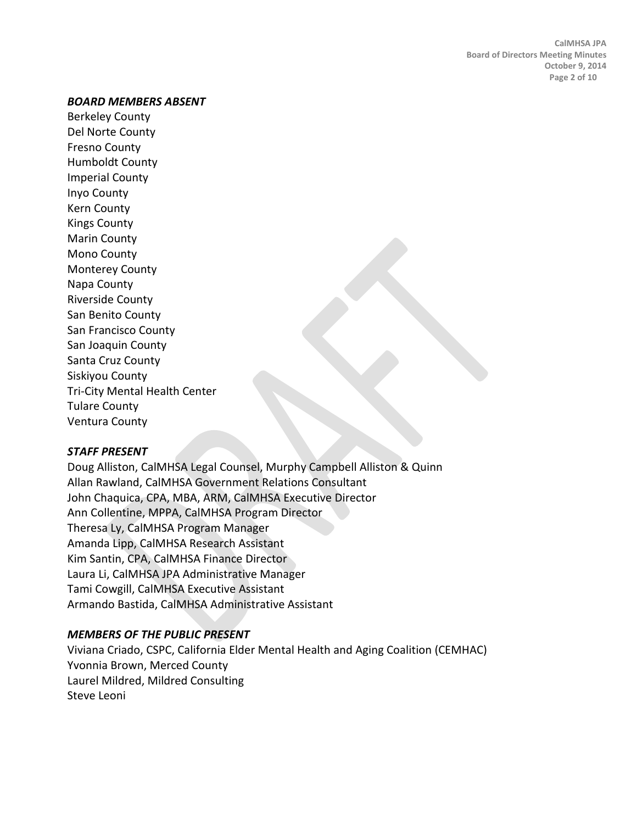#### *BOARD MEMBERS ABSENT*

Berkeley County Del Norte County Fresno County Humboldt County Imperial County Inyo County Kern County Kings County Marin County Mono County Monterey County Napa County Riverside County San Benito County San Francisco County San Joaquin County Santa Cruz County Siskiyou County Tri-City Mental Health Center Tulare County Ventura County

#### *STAFF PRESENT*

Doug Alliston, CalMHSA Legal Counsel, Murphy Campbell Alliston & Quinn Allan Rawland, CalMHSA Government Relations Consultant John Chaquica, CPA, MBA, ARM, CalMHSA Executive Director Ann Collentine, MPPA, CalMHSA Program Director Theresa Ly, CalMHSA Program Manager Amanda Lipp, CalMHSA Research Assistant Kim Santin, CPA, CalMHSA Finance Director Laura Li, CalMHSA JPA Administrative Manager Tami Cowgill, CalMHSA Executive Assistant Armando Bastida, CalMHSA Administrative Assistant

### *MEMBERS OF THE PUBLIC PRESENT*

Viviana Criado, CSPC, California Elder Mental Health and Aging Coalition (CEMHAC) Yvonnia Brown, Merced County Laurel Mildred, Mildred Consulting Steve Leoni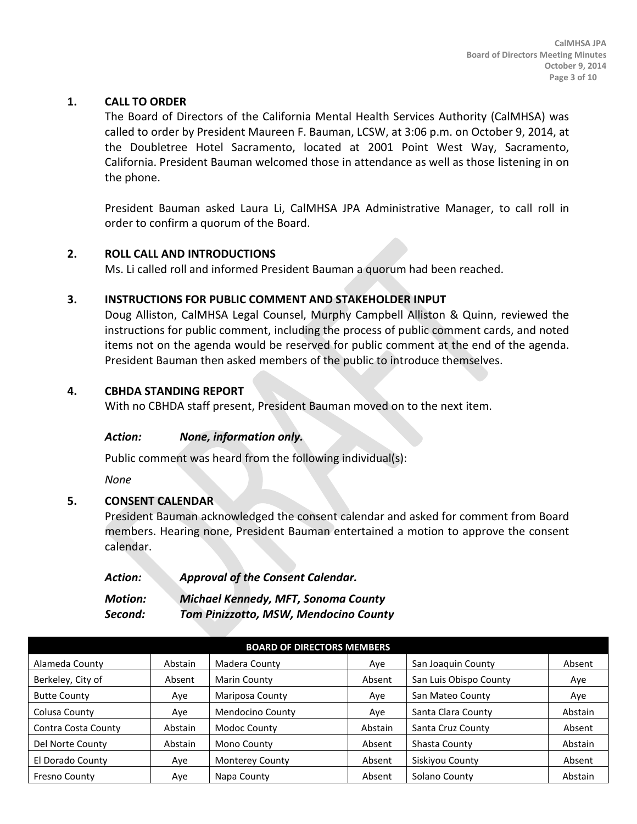### **1. CALL TO ORDER**

The Board of Directors of the California Mental Health Services Authority (CalMHSA) was called to order by President Maureen F. Bauman, LCSW, at 3:06 p.m. on October 9, 2014, at the Doubletree Hotel Sacramento, located at 2001 Point West Way, Sacramento, California. President Bauman welcomed those in attendance as well as those listening in on the phone.

President Bauman asked Laura Li, CalMHSA JPA Administrative Manager, to call roll in order to confirm a quorum of the Board.

## **2. ROLL CALL AND INTRODUCTIONS**

Ms. Li called roll and informed President Bauman a quorum had been reached.

#### **3. INSTRUCTIONS FOR PUBLIC COMMENT AND STAKEHOLDER INPUT**

Doug Alliston, CalMHSA Legal Counsel, Murphy Campbell Alliston & Quinn, reviewed the instructions for public comment, including the process of public comment cards, and noted items not on the agenda would be reserved for public comment at the end of the agenda. President Bauman then asked members of the public to introduce themselves.

#### **4. CBHDA STANDING REPORT**

With no CBHDA staff present, President Bauman moved on to the next item.

#### *Action: None, information only.*

Public comment was heard from the following individual(s):

*None*

### **5. CONSENT CALENDAR**

President Bauman acknowledged the consent calendar and asked for comment from Board members. Hearing none, President Bauman entertained a motion to approve the consent calendar.

| <b>Action:</b> | <b>Approval of the Consent Calendar.</b> |
|----------------|------------------------------------------|
| <b>Motion:</b> | Michael Kennedy, MFT, Sonoma County      |
| Second:        | Tom Pinizzotto, MSW, Mendocino County    |

| <b>BOARD OF DIRECTORS MEMBERS</b> |         |                        |         |                        |         |
|-----------------------------------|---------|------------------------|---------|------------------------|---------|
| Alameda County                    | Abstain | Madera County          | Aye     | San Joaquin County     | Absent  |
| Berkeley, City of                 | Absent  | Marin County           | Absent  | San Luis Obispo County | Aye     |
| <b>Butte County</b>               | Aye     | Mariposa County        | Ave     | San Mateo County       | Aye     |
| Colusa County                     | Aye     | Mendocino County       | Aye     | Santa Clara County     | Abstain |
| Contra Costa County               | Abstain | Modoc County           | Abstain | Santa Cruz County      | Absent  |
| Del Norte County                  | Abstain | Mono County            | Absent  | Shasta County          | Abstain |
| El Dorado County                  | Aye     | <b>Monterey County</b> | Absent  | Siskiyou County        | Absent  |
| Fresno County                     | Aye     | Napa County            | Absent  | Solano County          | Abstain |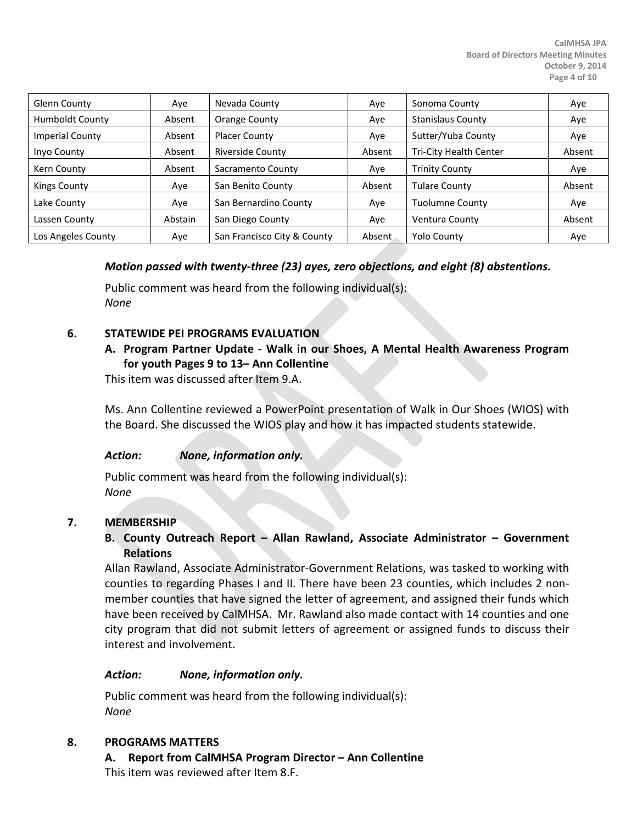| Glenn County           | Aye     | Nevada County               | Aye    | Sonoma County            | Aye    |
|------------------------|---------|-----------------------------|--------|--------------------------|--------|
| <b>Humboldt County</b> | Absent  | Orange County               | Aye    | <b>Stanislaus County</b> | Aye    |
| <b>Imperial County</b> | Absent  | Placer County               | Aye    | Sutter/Yuba County       | Aye    |
| Inyo County            | Absent  | Riverside County            | Absent | Tri-City Health Center   | Absent |
| Kern County            | Absent  | Sacramento County           | Aye    | <b>Trinity County</b>    | Aye    |
| Kings County           | Aye     | San Benito County           | Absent | <b>Tulare County</b>     | Absent |
| Lake County            | Aye     | San Bernardino County       | Ave    | Tuolumne County          | Aye    |
| Lassen County          | Abstain | San Diego County            | Aye    | Ventura County           | Absent |
| Los Angeles County     | Ave     | San Francisco City & County | Absent | <b>Yolo County</b>       | Aye    |

### *Motion passed with twenty-three (23) ayes, zero objections, and eight (8) abstentions.*

Public comment was heard from the following individual(s): *None*

#### **6. STATEWIDE PEI PROGRAMS EVALUATION**

## **A. Program Partner Update - Walk in our Shoes, A Mental Health Awareness Program for youth Pages 9 to 13– Ann Collentine**

This item was discussed after Item 9.A.

Ms. Ann Collentine reviewed a PowerPoint presentation of Walk in Our Shoes (WIOS) with the Board. She discussed the WIOS play and how it has impacted students statewide.

### *Action: None, information only.*

Public comment was heard from the following individual(s): *None*

#### **7. MEMBERSHIP**

### **B. County Outreach Report – Allan Rawland, Associate Administrator – Government Relations**

Allan Rawland, Associate Administrator-Government Relations, was tasked to working with counties to regarding Phases I and II. There have been 23 counties, which includes 2 nonmember counties that have signed the letter of agreement, and assigned their funds which have been received by CalMHSA. Mr. Rawland also made contact with 14 counties and one city program that did not submit letters of agreement or assigned funds to discuss their interest and involvement.

#### *Action: None, information only.*

Public comment was heard from the following individual(s): *None*

#### **8. PROGRAMS MATTERS**

**A. Report from CalMHSA Program Director – Ann Collentine** This item was reviewed after Item 8.F.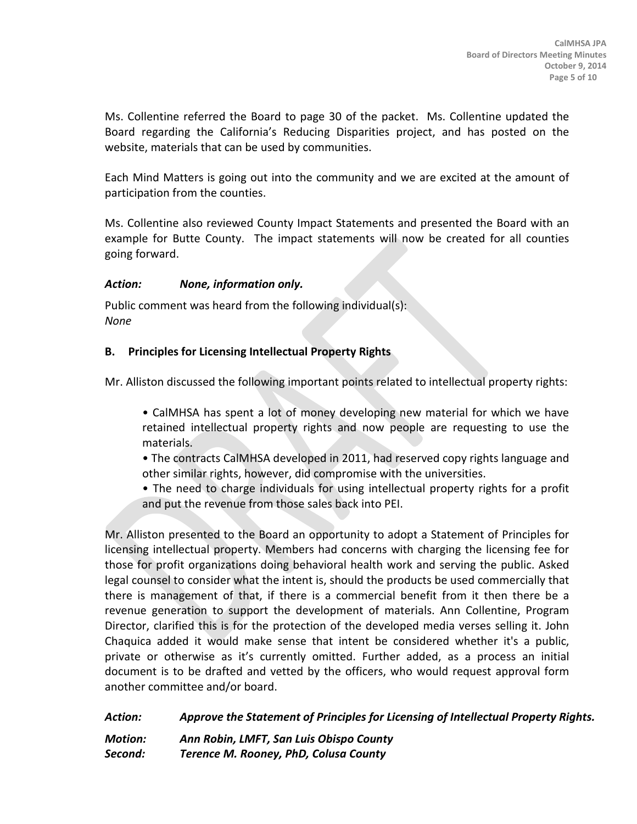Ms. Collentine referred the Board to page 30 of the packet. Ms. Collentine updated the Board regarding the California's Reducing Disparities project, and has posted on the website, materials that can be used by communities.

Each Mind Matters is going out into the community and we are excited at the amount of participation from the counties.

Ms. Collentine also reviewed County Impact Statements and presented the Board with an example for Butte County. The impact statements will now be created for all counties going forward.

### *Action: None, information only.*

Public comment was heard from the following individual(s): *None*

### **B. Principles for Licensing Intellectual Property Rights**

Mr. Alliston discussed the following important points related to intellectual property rights:

- CalMHSA has spent a lot of money developing new material for which we have retained intellectual property rights and now people are requesting to use the materials.
- The contracts CalMHSA developed in 2011, had reserved copy rights language and other similar rights, however, did compromise with the universities.
- The need to charge individuals for using intellectual property rights for a profit and put the revenue from those sales back into PEI.

Mr. Alliston presented to the Board an opportunity to adopt a Statement of Principles for licensing intellectual property. Members had concerns with charging the licensing fee for those for profit organizations doing behavioral health work and serving the public. Asked legal counsel to consider what the intent is, should the products be used commercially that there is management of that, if there is a commercial benefit from it then there be a revenue generation to support the development of materials. Ann Collentine, Program Director, clarified this is for the protection of the developed media verses selling it. John Chaquica added it would make sense that intent be considered whether it's a public, private or otherwise as it's currently omitted. Further added, as a process an initial document is to be drafted and vetted by the officers, who would request approval form another committee and/or board.

*Action: Approve the Statement of Principles for Licensing of Intellectual Property Rights.* 

*Motion: Ann Robin, LMFT, San Luis Obispo County Second: Terence M. Rooney, PhD, Colusa County*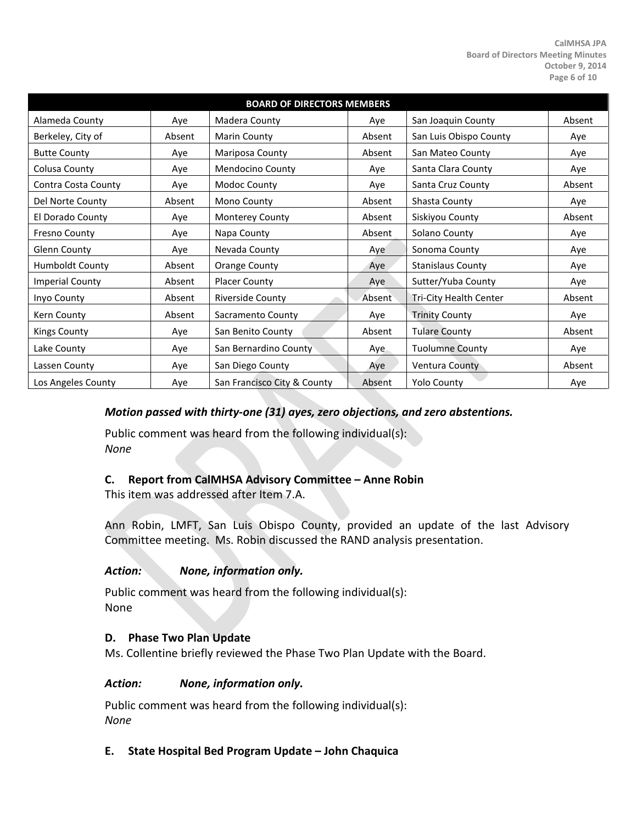| <b>BOARD OF DIRECTORS MEMBERS</b> |        |                             |        |                          |        |
|-----------------------------------|--------|-----------------------------|--------|--------------------------|--------|
| Alameda County                    | Aye    | Madera County               | Aye    | San Joaquin County       | Absent |
| Berkeley, City of                 | Absent | Marin County                | Absent | San Luis Obispo County   | Aye    |
| <b>Butte County</b>               | Aye    | Mariposa County             | Absent | San Mateo County         | Aye    |
| Colusa County                     | Aye    | Mendocino County            | Aye    | Santa Clara County       | Aye    |
| Contra Costa County               | Aye    | Modoc County                | Aye    | Santa Cruz County        | Absent |
| Del Norte County                  | Absent | Mono County                 | Absent | Shasta County            | Aye    |
| El Dorado County                  | Aye    | Monterey County             | Absent | Siskiyou County          | Absent |
| Fresno County                     | Aye    | Napa County                 | Absent | Solano County            | Aye    |
| Glenn County                      | Aye    | Nevada County               | Aye    | Sonoma County            | Aye    |
| Humboldt County                   | Absent | Orange County               | Aye    | <b>Stanislaus County</b> | Aye    |
| <b>Imperial County</b>            | Absent | <b>Placer County</b>        | Aye    | Sutter/Yuba County       | Aye    |
| Inyo County                       | Absent | <b>Riverside County</b>     | Absent | Tri-City Health Center   | Absent |
| Kern County                       | Absent | Sacramento County           | Aye    | <b>Trinity County</b>    | Aye    |
| <b>Kings County</b>               | Aye    | San Benito County           | Absent | <b>Tulare County</b>     | Absent |
| Lake County                       | Aye    | San Bernardino County       | Aye    | <b>Tuolumne County</b>   | Aye    |
| Lassen County                     | Aye    | San Diego County            | Aye    | Ventura County           | Absent |
| Los Angeles County                | Aye    | San Francisco City & County | Absent | <b>Yolo County</b>       | Aye    |

### *Motion passed with thirty-one (31) ayes, zero objections, and zero abstentions.*

Public comment was heard from the following individual(s): *None*

#### **C. Report from CalMHSA Advisory Committee – Anne Robin**

This item was addressed after Item 7.A.

Ann Robin, LMFT, San Luis Obispo County, provided an update of the last Advisory Committee meeting. Ms. Robin discussed the RAND analysis presentation.

#### *Action: None, information only.*

Public comment was heard from the following individual(s): None

#### **D. Phase Two Plan Update**

Ms. Collentine briefly reviewed the Phase Two Plan Update with the Board.

#### *Action: None, information only.*

Public comment was heard from the following individual(s): *None*

#### **E. State Hospital Bed Program Update – John Chaquica**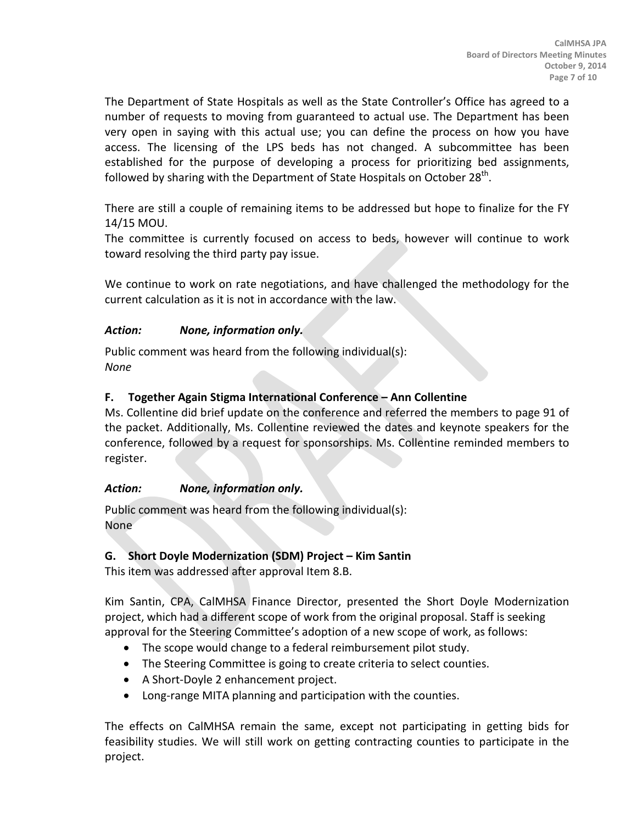The Department of State Hospitals as well as the State Controller's Office has agreed to a number of requests to moving from guaranteed to actual use. The Department has been very open in saying with this actual use; you can define the process on how you have access. The licensing of the LPS beds has not changed. A subcommittee has been established for the purpose of developing a process for prioritizing bed assignments, followed by sharing with the Department of State Hospitals on October  $28<sup>th</sup>$ .

There are still a couple of remaining items to be addressed but hope to finalize for the FY 14/15 MOU.

The committee is currently focused on access to beds, however will continue to work toward resolving the third party pay issue.

We continue to work on rate negotiations, and have challenged the methodology for the current calculation as it is not in accordance with the law.

### *Action: None, information only.*

Public comment was heard from the following individual(s): *None*

## **F. Together Again Stigma International Conference – Ann Collentine**

Ms. Collentine did brief update on the conference and referred the members to page 91 of the packet. Additionally, Ms. Collentine reviewed the dates and keynote speakers for the conference, followed by a request for sponsorships. Ms. Collentine reminded members to register.

### *Action: None, information only.*

Public comment was heard from the following individual(s): None

### **G. Short Doyle Modernization (SDM) Project – Kim Santin**

This item was addressed after approval Item 8.B.

Kim Santin, CPA, CalMHSA Finance Director, presented the Short Doyle Modernization project, which had a different scope of work from the original proposal. Staff is seeking approval for the Steering Committee's adoption of a new scope of work, as follows:

- The scope would change to a federal reimbursement pilot study.
- The Steering Committee is going to create criteria to select counties.
- A Short-Doyle 2 enhancement project.
- Long-range MITA planning and participation with the counties.

The effects on CalMHSA remain the same, except not participating in getting bids for feasibility studies. We will still work on getting contracting counties to participate in the project.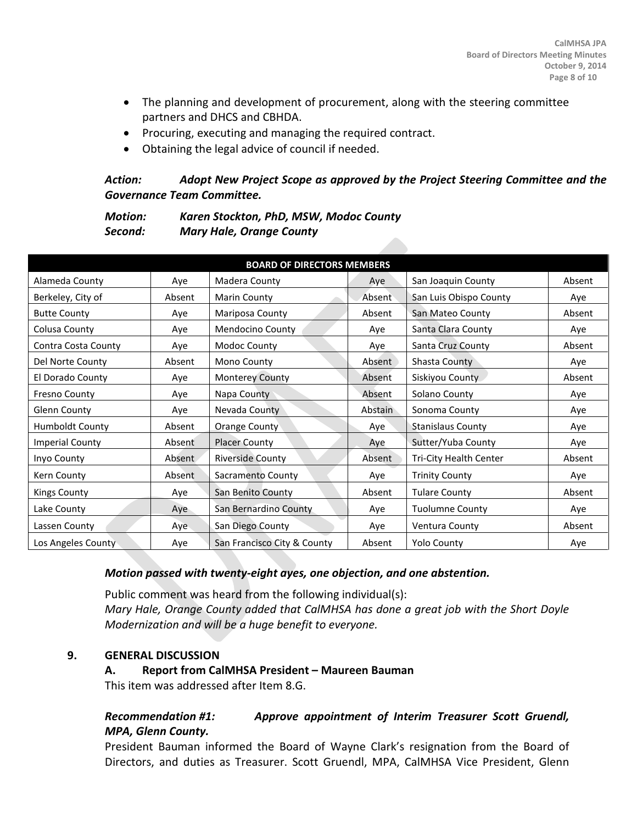- The planning and development of procurement, along with the steering committee partners and DHCS and CBHDA.
- Procuring, executing and managing the required contract.
- Obtaining the legal advice of council if needed.

## *Action: Adopt New Project Scope as approved by the Project Steering Committee and the Governance Team Committee.*

*Motion: Karen Stockton, PhD, MSW, Modoc County Second: Mary Hale, Orange County*

| <b>BOARD OF DIRECTORS MEMBERS</b> |        |                             |         |                          |        |
|-----------------------------------|--------|-----------------------------|---------|--------------------------|--------|
| Alameda County                    | Aye    | Madera County               | Aye     | San Joaquin County       | Absent |
| Berkeley, City of                 | Absent | Marin County                | Absent  | San Luis Obispo County   | Aye    |
| <b>Butte County</b>               | Ave    | Mariposa County             | Absent  | San Mateo County         | Absent |
| Colusa County                     | Aye    | Mendocino County            | Aye     | Santa Clara County       | Aye    |
| Contra Costa County               | Aye    | Modoc County                | Aye     | Santa Cruz County        | Absent |
| Del Norte County                  | Absent | Mono County                 | Absent  | Shasta County            | Aye    |
| El Dorado County                  | Aye    | <b>Monterey County</b>      | Absent  | Siskiyou County          | Absent |
| Fresno County                     | Aye    | Napa County                 | Absent  | Solano County            | Aye    |
| Glenn County                      | Aye    | Nevada County               | Abstain | Sonoma County            | Aye    |
| <b>Humboldt County</b>            | Absent | Orange County               | Aye     | <b>Stanislaus County</b> | Aye    |
| <b>Imperial County</b>            | Absent | <b>Placer County</b>        | Aye     | Sutter/Yuba County       | Aye    |
| Inyo County                       | Absent | <b>Riverside County</b>     | Absent  | Tri-City Health Center   | Absent |
| Kern County                       | Absent | Sacramento County           | Aye     | <b>Trinity County</b>    | Aye    |
| <b>Kings County</b>               | Aye    | San Benito County           | Absent  | <b>Tulare County</b>     | Absent |
| Lake County                       | Aye    | San Bernardino County       | Aye     | <b>Tuolumne County</b>   | Aye    |
| Lassen County                     | Aye    | San Diego County            | Aye     | Ventura County           | Absent |
| Los Angeles County                | Aye    | San Francisco City & County | Absent  | <b>Yolo County</b>       | Aye    |

### *Motion passed with twenty-eight ayes, one objection, and one abstention.*

Public comment was heard from the following individual(s): *Mary Hale, Orange County added that CalMHSA has done a great job with the Short Doyle Modernization and will be a huge benefit to everyone.*

#### **9. GENERAL DISCUSSION**

#### **A. Report from CalMHSA President – Maureen Bauman**

This item was addressed after Item 8.G.

## *Recommendation #1: Approve appointment of Interim Treasurer Scott Gruendl, MPA, Glenn County.*

President Bauman informed the Board of Wayne Clark's resignation from the Board of Directors, and duties as Treasurer. Scott Gruendl, MPA, CalMHSA Vice President, Glenn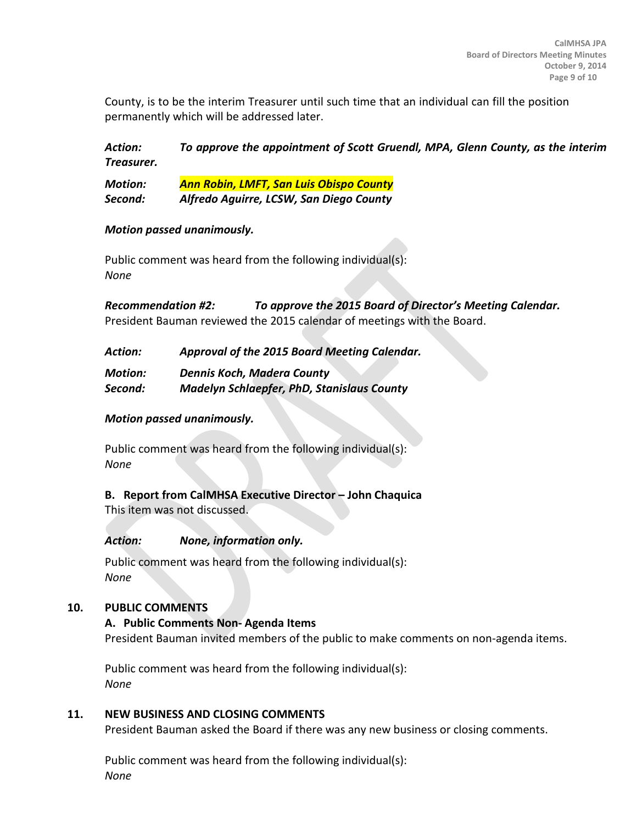County, is to be the interim Treasurer until such time that an individual can fill the position permanently which will be addressed later.

*Action: To approve the appointment of Scott Gruendl, MPA, Glenn County, as the interim Treasurer.*

*Motion: Ann Robin, LMFT, San Luis Obispo County Second: Alfredo Aguirre, LCSW, San Diego County*

#### *Motion passed unanimously.*

Public comment was heard from the following individual(s): *None*

*Recommendation #2: To approve the 2015 Board of Director's Meeting Calendar.* President Bauman reviewed the 2015 calendar of meetings with the Board.

| Approval of the 2015 Board Meeting Calendar.<br>Action: |
|---------------------------------------------------------|
|---------------------------------------------------------|

*Motion: Dennis Koch, Madera County*

*Second: Madelyn Schlaepfer, PhD, Stanislaus County*

### *Motion passed unanimously.*

Public comment was heard from the following individual(s): *None*

# **B. Report from CalMHSA Executive Director – John Chaquica**

This item was not discussed.

### *Action: None, information only.*

Public comment was heard from the following individual(s): *None*

### **10. PUBLIC COMMENTS**

#### **A. Public Comments Non- Agenda Items**

President Bauman invited members of the public to make comments on non-agenda items.

Public comment was heard from the following individual(s): *None*

#### **11. NEW BUSINESS AND CLOSING COMMENTS**

President Bauman asked the Board if there was any new business or closing comments.

Public comment was heard from the following individual(s): *None*